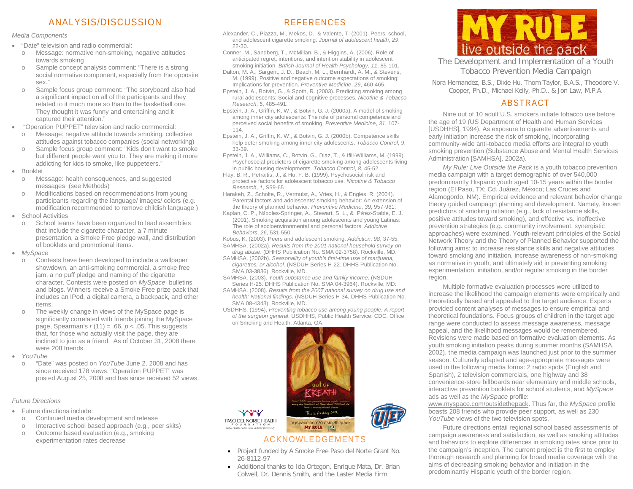## ANALYSIS/DISCUSSION

#### *Media Components*

- "Date" television and radio commercial:
	- o Message: normative non-smoking, negative attitudes towards smoking
	- o Sample concept analysis comment: "There is a strong social normative component, especially from the opposite sex."
	- o Sample focus group comment: "The storyboard also had a significant impact on all of the participants and they related to it much more so than to the basketball one. They thought it was funny and entertaining and it captured their attention."
- "Operation PUPPET" television and radio commercial:
- o Message: negative attitude towards smoking, collective attitudes against tobacco companies (social networking)
- o Sample focus group comment: "Kids don't want to smoke but different people want you to. They are making it more addicting for kids to smoke, like puppeteers."
- Booklet
	- o Message: health consequences, and suggested messages (see Methods)
	- o Modifications based on recommendations from young participants regarding the language/ images/ colors (e.g. modification recommended to remove childish language )
- School Activities
	- o School teams have been organized to lead assemblies that include the cigarette character, a 7 minute presentation, a Smoke Free pledge wall, and distribution of booklets and promotional items.
- *MySpace*
	- o Contests have been developed to include a wallpaper showdown, an anti-smoking commercial, a smoke free jam, a no puff pledge and naming of the cigarette character. Contests were posted on *MySpace* bulletins and blogs. Winners receive a Smoke Free prize pack that includes an IPod, a digital camera, a backpack, and other items.
	- o The weekly change in views of the MySpace page is significantly correlated with friends joining the MySpace page, Spearman's *r* (11) = .66, *p* < .05. This suggests that, for those who actually visit the page, they are inclined to join as a friend. As of October 31, 2008 there were 208 friends.
- *YouTube*
- o "Date" was posted on *YouTube* June 2, 2008 and has since received 178 views. "Operation PUPPET" was posted August 25, 2008 and has since received 52 views.

### *Future Directions*

- Future directions include:
	- o Continued media development and release
	- o Interactive school based approach (e.g., peer skits)<br>
	o Outcome based evaluation (e.g., smoking
	- Outcome based evaluation (e.g., smoking experimentation rates decrease

## REFERENCES

- Alexander, C., Piazza, M., Mekos, D., & Valente, T. (2001). Peers, school, and adolescent cigarette smoking. *Journal of adolescent health*, *29*, 22-30.
- Conner, M., Sandberg, T., McMillan, B., & Higgins, A. (2006). Role of anticipated regret, intentions, and intention stability in adolescent smoking initiation. *British Journal of Health Psychology*, *11*, 85-101.
- Dalton, M. A., Sargent, J. D., Beach, M. L., Bernhardt, A. M., & Stevens, M. (1999). Positive and negative outcome expectations of smoking: Implications for prevention. *Preventive Medicine*, *29*, 460-465.
- Epstein, J. A., Botvin, G., & Spoth, R. (2003). Predicting smoking among rural adolescents: Social and cognitive processes. *Nicotine & Tobacco Research*, *5*, 485-491.
- Epstein, J. A., Griffin, K. W., & Botvin, G. J. (2000a). A model of smoking among inner city adolescents: The role of personal competence and perceived social benefits of smoking. *Preventive Medicine*, *31*, 107- 114.
- Epstein, J. A., Griffin, K. W., & Botvin, G. J. (2000b). Competence skills help deter smoking among inner city adolescents. *Tobacco Control*, *9*, 33-39.
- Epstein, J. A., Williams, C., Botvin, G., Diaz, T., & Ifill-Williams, M. (1999). Psychosocial predictors of cigarette smoking among adolescents living in public housing developments. *Tobacco Control*, *8*, 45-52.
- Flay, B. R., Petraitis, J., & Hu, F. B. (1999). Psychosocial risk and protective factors for adolescent tobacco use. *Nicotine & Tobacco Research*, *1*, S59-65
- Harakeh, Z., Scholte, R., Vermulst, A., Vries, H., & Engles, R. (2004). Parental factors and adolescents' smoking behavior: An extension of the theory of planned behavior. *Preventive Medicine*, *39*, 957-961.
- Kaplan, C. P., Nápoles-Springer, A., Stewart, S. L., & Pérez-Stable, E. J. (2001). Smoking acquisition among adolescents and young Latinas: The role of socioenvironmental and personal factors. *Addictive Behaviors*, *26*, 531-550.
- Kobus, K. (2003). Peers and adolescent smoking. *Addiction*, *98*, 37-55. SAMHSA. (2002a). *Results from the 2001 national household survey on*
- *drug abuse*. (DHHS Publication No. SMA 02-3758). Rockville, MD. SAMHSA. (2002b). *Seasonality of youth's first-time use of marijuana,*
- *cigarettes, or alcohol*. (NSDUH Series H-22. DHHS Publication No. SMA 03-3836). Rockville, MD.
- SAMHSA. (2003). *Youth substance use and family income*. (NSDUH Series H-25. DHHS Publication No. SMA 04-3964). Rockville, MD:
- SAMHSA. (2008). *Results from the 2007 national survey on drug use and health: National findings*. (NSDUH Series H-34, DHHS Publication No. SMA 08-4343). Rockville, MD.
- USDHHS. (1994). *Preventing tobacco use among young people: A report of the surgeon general*. USDHHS, Public Health Service. CDC. Office on Smoking and Health. Atlanta, GA.



### ACKNOWLEDGEMENTS

YYY

- Project funded by A Smoke Free Paso del Norte Grant No. 26-8112-97
- Additional thanks to Ida Ortegon, Enrique Mata, Dr. Brian Colwell, Dr. Dennis Smith, and the Laster Media Firm



The Development and Implementation of a Youth Tobacco Prevention Media Campaign

Nora Hernandez, B.S., Dixie Hu, Thom Taylor, B.A.S., Theodore V. Cooper, Ph.D., Michael Kelly, Ph.D., & Jon Law, M.P.A.

### ABSTRACT

Nine out of 10 adult U.S. smokers initiate tobacco use before the age of 19 (US Department of Health and Human Services [USDHHS], 1994). As exposure to cigarette advertisements and early initiation increase the risk of smoking, incorporating community-wide anti-tobacco media efforts are integral to youth smoking prevention (Substance Abuse and Mental Health Services Administration [SAMHSA], 2002a).

*My Rule: Live Outside the Pack* is a youth tobacco prevention media campaign with a target demographic of over 540,000 predominantly Hispanic youth aged 10-15 years within the border region (El Paso, TX; Cd. Juárez, México; Las Cruces and Alamogordo, NM). Empirical evidence and relevant behavior change theory guided campaign planning and development. Namely, known predictors of smoking initiation (e.g., lack of resistance skills, positive attitudes toward smoking), and effective vs. ineffective prevention strategies (e.g. community involvement, synergistic approaches) were examined. Youth-relevant principles of the Social Network Theory and the Theory of Planned Behavior supported the following aims: to increase resistance skills and negative attitudes toward smoking and initiation, increase awareness of non-smoking as normative in youth, and ultimately aid in preventing smoking experimentation, initiation, and/or regular smoking in the border region.

Multiple formative evaluation processes were utilized to increase the likelihood the campaign elements were empirically and theoretically based and appealed to the target audience. Experts provided content analyses of messages to ensure empirical and theoretical foundations. Focus groups of children in the target age range were conducted to assess message awareness, message appeal, and the likelihood messages would be remembered. Revisions were made based on formative evaluation elements. As youth smoking initiation peaks during summer months (SAMHSA, 2002), the media campaign was launched just prior to the summer season. Culturally adapted and age-appropriate messages were used in the following media forms: 2 radio spots (English and Spanish), 2 television commercials, one highway and 38 convenience-store billboards near elementary and middle schools, interactive prevention booklets for school students, and *MySpace* ads as well as the *MySpace* profile:

[www.myspace.com/outsidethepack.](http://www.myspace.com/liveoutsidethepack) Thus far, the *MySpace* profile boasts 208 friends who provide peer support, as well as 230 *YouTube* views of the two television spots.

Future directions entail regional school based assessments of campaign awareness and satisfaction, as well as smoking attitudes and behaviors to explore differences in smoking rates since prior to the campaign's inception. The current project is the first to employ thorough research and planning for broad media coverage with the aims of decreasing smoking behavior and initiation in the predominantly Hispanic youth of the border region.